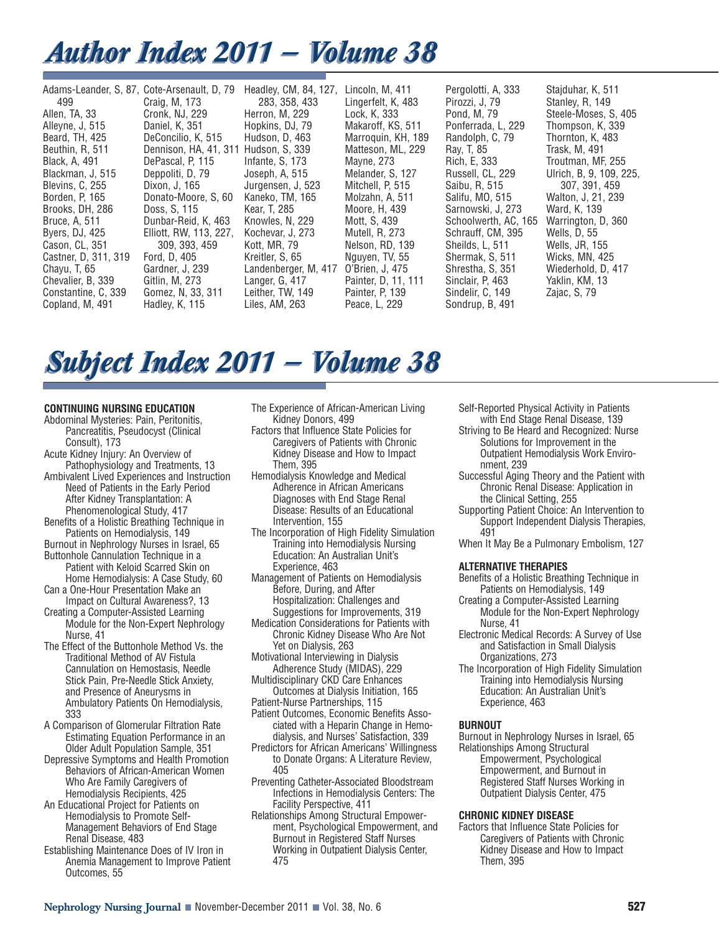# *Author Index 2011 — Volume 38 Author Index 2011 — Volume 38*

| Adams-Leander, S. 87, Cote-Arsenault, D. 79 |                        | Headley, CM, 84, 127, | Lincoln, M, 411     | Pergolotti, A, 333   | Stajduhar, K, 511       |
|---------------------------------------------|------------------------|-----------------------|---------------------|----------------------|-------------------------|
| 499                                         | Craig, M, 173          | 283, 358, 433         | Lingerfelt, K, 483  | Pirozzi, J. 79       | Stanley, R. 149         |
| Allen, TA, 33                               | Cronk, NJ, 229         | Herron, M. 229        | Lock. K. 333        | Pond, M. 79          | Steele-Moses, S. 405    |
| Alleyne, J, 515                             | Daniel, K, 351         | Hopkins, DJ, 79       | Makaroff, KS, 511   | Ponferrada, L. 229   | Thompson, K, 339        |
| Beard, TH, 425                              | DeConcilio, K. 515     | Hudson, D. 463        | Marroguin, KH, 189  | Randolph, C, 79      | Thornton, K, 483        |
| Beuthin, R, 511                             | Dennison, HA, 41, 311  | Hudson, S. 339        | Matteson, ML, 229   | Ray, T. 85           | Trask, M, 491           |
| Black, A, 491                               | DePascal, P. 115       | Infante, S. 173       | Mayne, 273          | Rich, E, 333         | Troutman, MF, 255       |
| Blackman, J, 515                            | Deppoliti, D. 79       | Joseph, A, 515        | Melander, S. 127    | Russell, CL, 229     | Ulrich, B, 9, 109, 225, |
| Blevins, C. 255                             | Dixon, J, 165          | Jurgensen, J. 523     | Mitchell, P. 515    | Saibu, R. 515        | 307, 391, 459           |
| Borden, P, 165                              | Donato-Moore, S. 60    | Kaneko, TM, 165       | Molzahn, A, 511     | Salifu, MO, 515      | Walton, J. 21, 239      |
| Brooks, DH, 286                             | Doss, S. 115           | Kear, T. 285          | Moore, H, 439       | Sarnowski, J. 273    | Ward, K, 139            |
| Bruce, A, 511                               | Dunbar-Reid, K, 463    | Knowles, N. 229       | Mott. S. 439        | Schoolwerth, AC, 165 | Warrington, D. 360      |
| Byers, DJ, 425                              | Elliott, RW, 113, 227, | Kochevar, J. 273      | Mutell, R, 273      | Schrauff, CM, 395    | Wells, D, 55            |
| Cason, CL, 351                              | 309, 393, 459          | Kott, MR, 79          | Nelson, RD, 139     | Sheilds, L, 511      | Wells, JR, 155          |
| Castner, D. 311, 319                        | Ford, D. 405           | Kreitler, S. 65       | Nguyen, TV, 55      | Shermak, S. 511      | <b>Wicks, MN, 425</b>   |
| Chayu, T, 65                                | Gardner, J. 239        | Landenberger, M, 417  | O'Brien, J, 475     | Shrestha, S. 351     | Wiederhold, D. 417      |
| Chevalier, B, 339                           | Gitlin, M, 273         | Langer, G. 417        | Painter, D, 11, 111 | Sinclair, P. 463     | Yaklin, KM, 13          |
| Constantine, C. 339                         | Gomez, N, 33, 311      | Leither, TW, 149      | Painter, P. 139     | Sindelir, C. 149     | Zajac, S, 79            |
| Copland, M. 491                             | Hadley, K, 115         | Liles, AM, 263        | Peace, L, 229       | Sondrup, B, 491      |                         |

# *Subject Index 2011 — Volume 38 Subject Index 2011 — Volume 38*

# **CONTINUING NURSING EDUCATION**

- Abdominal Mysteries: Pain, Peritonitis, Pancreatitis, Pseudocyst (Clinical Consult), 173
- Acute Kidney Injury: An Overview of Pathophysiology and Treatments, 13 Ambivalent Lived Experiences and Instruction Need of Patients in the Early Period After Kidney Transplantation: A
- Phenomenological Study, 417
- Benefits of a Holistic Breathing Technique in Patients on Hemodialysis, 149
- Burnout in Nephrology Nurses in Israel, 65 Buttonhole Cannulation Technique in a Patient with Keloid Scarred Skin on Home Hemodialysis: A Case Study, 60
- Can a One-Hour Presentation Make an Impact on Cultural Awareness?, 13
- Creating a Computer-Assisted Learning Module for the Non-Expert Nephrology Nurse, 41
- The Effect of the Buttonhole Method Vs. the Traditional Method of AV Fistula Cannulation on Hemostasis, Needle Stick Pain, Pre-Needle Stick Anxiety, and Presence of Aneurysms in Ambulatory Patients On Hemodialysis, 333
- A Comparison of Glomerular Filtration Rate Estimating Equation Performance in an Older Adult Population Sample, 351
- Depressive Symptoms and Health Promotion Behaviors of African-American Women Who Are Family Caregivers of Hemodialysis Recipients, 425
- An Educational Project for Patients on Hemodialysis to Promote Self-Management Behaviors of End Stage Renal Disease, 483
- Establishing Maintenance Does of IV Iron in Anemia Management to Improve Patient Outcomes, 55
- The Experience of African-American Living Kidney Donors, 499
- Factors that Influence State Policies for Caregivers of Patients with Chronic Kidney Disease and How to Impact Them, 395
- Hemodialysis Knowledge and Medical Adherence in African Americans Diagnoses with End Stage Renal Disease: Results of an Educational Intervention, 155
- The Incorporation of High Fidelity Simulation Training into Hemodialysis Nursing Education: An Australian Unit's Experience, 463
- Management of Patients on Hemodialysis Before, During, and After Hospitalization: Challenges and Suggestions for Improvements, 319
- Medication Considerations for Patients with Chronic Kidney Disease Who Are Not Yet on Dialysis, 263
- Motivational Interviewing in Dialysis Adherence Study (MIDAS), 229
- Multidisciplinary CKD Care Enhances Outcomes at Dialysis Initiation, 165 Patient-Nurse Partnerships, 115
- Patient Outcomes, Economic Benefits Associated with a Heparin Change in Hemodialysis, and Nurses' Satisfaction, 339
- Predictors for African Americans' Willingness to Donate Organs: A Literature Review, 405
- Preventing Catheter-Associated Bloodstream Infections in Hemodialysis Centers: The Facility Perspective, 411
- Relationships Among Structural Empower ment, Psychological Empowerment, and Burnout in Registered Staff Nurses Working in Outpatient Dialysis Center, 475

Self-Reported Physical Activity in Patients with End Stage Renal Disease, 139

- Striving to Be Heard and Recognized: Nurse Solutions for Improvement in the Outpatient Hemodialysis Work Environment, 239
- Successful Aging Theory and the Patient with Chronic Renal Disease: Application in the Clinical Setting, 255
- Supporting Patient Choice: An Intervention to Support Independent Dialysis Therapies, 491
- When It May Be a Pulmonary Embolism, 127

# **ALTERNATIVE THERAPIES**

- Benefits of a Holistic Breathing Technique in Patients on Hemodialysis, 149
- Creating a Computer-Assisted Learning Module for the Non-Expert Nephrology Nurse, 41
- Electronic Medical Records: A Survey of Use and Satisfaction in Small Dialysis Organizations, 273
- The Incorporation of High Fidelity Simulation Training into Hemodialysis Nursing Education: An Australian Unit's Experience, 463

# **BURNOUT**

Burnout in Nephrology Nurses in Israel, 65 Relationships Among Structural Empowerment, Psychological Empowerment, and Burnout in Registered Staff Nurses Working in Outpatient Dialysis Center, 475

#### **CHRONIC KIDNEY DISEASE**

Factors that Influence State Policies for Caregivers of Patients with Chronic Kidney Disease and How to Impact Them, 395